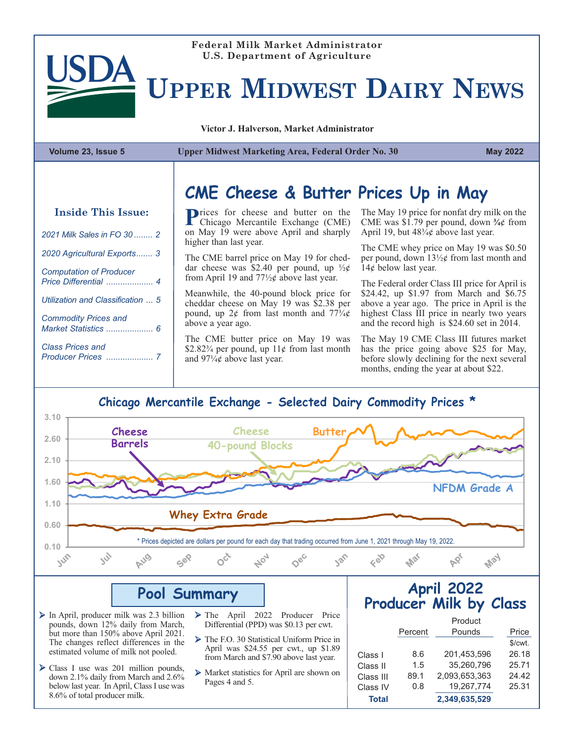

#### **Federal Milk Market Administrator U.S. Department of Agriculture**

# **UPPER MIDWEST DAIRY NEWS**

**Victor J. Halverson, Market Administrator**

**Volume 23, Issue 5 Upper Midwest Marketing Area, Federal Order No. 30 May 2022**

#### **Inside This Issue:**

| 2021 Milk Sales in FO 30  2       |  |
|-----------------------------------|--|
| 2020 Agricultural Exports 3       |  |
| <b>Computation of Producer</b>    |  |
| Utilization and Classification  5 |  |
| <b>Commodity Prices and</b>       |  |
| <b>Class Prices and</b>           |  |
|                                   |  |

#### **CME Cheese & Butter Prices Up in May**

**Prices for cheese and butter on the Chicago Mercantile Exchange (CME)** on May 19 were above April and sharply higher than last year.

The CME barrel price on May 19 for cheddar cheese was \$2.40 per pound, up  $\frac{1}{2}$ from April 19 and 77½¢ above last year.

Meanwhile, the 40-pound block price for cheddar cheese on May 19 was \$2.38 per pound, up  $2¢$  from last month and  $77\frac{3}{4}¢$ above a year ago.

The CME butter price on May 19 was \$2.82 $\frac{3}{4}$  per pound, up  $11¢$  from last month and  $97\frac{1}{4}$  above last year.

The May 19 price for nonfat dry milk on the CME was \$1.79 per pound, down **¾**¢ from April 19, but  $48\frac{3}{4}$ ¢ above last year.

The CME whey price on May 19 was \$0.50 per pound, down 13½¢ from last month and 14¢ below last year.

The Federal order Class III price for April is \$24.42, up \$1.97 from March and \$6.75 above a year ago. The price in April is the highest Class III price in nearly two years and the record high is \$24.60 set in 2014.

The May 19 CME Class III futures market has the price going above \$25 for May, before slowly declining for the next several months, ending the year at about \$22.

#### **Chicago Mercantile Exchange - Selected Dairy Commodity Prices \***



#### **Pool Summary**

- $\triangleright$  In April, producer milk was 2.3 billion pounds, down 12% daily from March, but more than 150% above April 2021. The changes reflect differences in the estimated volume of milk not pooled.
- Ø Class I use was 201 million pounds, down 2.1% daily from March and 2.6% below last year. In April, Class I use was 8.6% of total producer milk.
- Ø The April 2022 Producer Price Differential (PPD) was \$0.13 per cwt.
- Ø The F.O. 30 Statistical Uniform Price in April was \$24.55 per cwt., up \$1.89 from March and \$7.90 above last year.
- Ø Market statistics for April are shown on Pages 4 and 5.

#### **April 2022 Producer Milk by Class**

|              |         | Product       |           |
|--------------|---------|---------------|-----------|
|              | Percent | Pounds        | Price     |
|              |         |               | $$/cut$ . |
| Class I      | 8.6     | 201.453.596   | 26.18     |
| Class II     | 1.5     | 35.260.796    | 25.71     |
| Class III    | 89.1    | 2,093,653,363 | 24.42     |
| Class IV     | 0.8     | 19,267,774    | 25.31     |
| <b>Total</b> |         | 2.349.635.529 |           |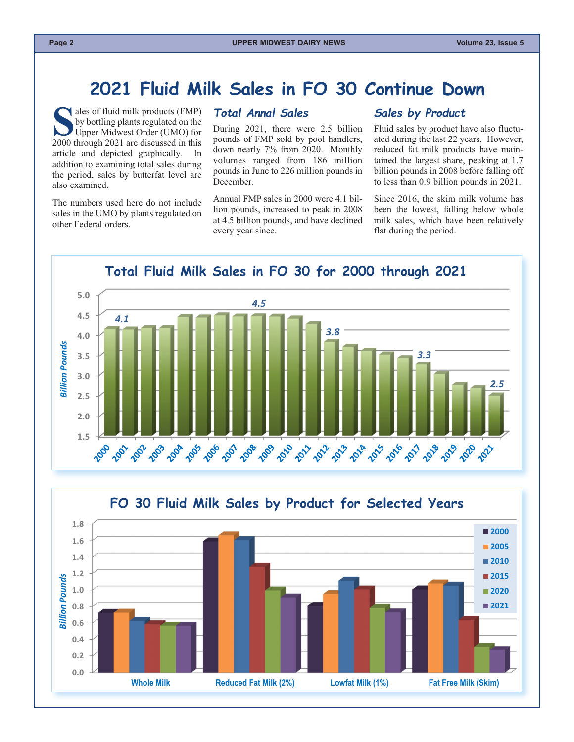#### **2021 Fluid Milk Sales in FO 30 Continue Down**

<span id="page-1-0"></span>Sales of fluid milk products (FMP)<br>by bottling plants regulated on the<br>Upper Midwest Order (UMO) for<br>2000 through 2021 are discussed in this by bottling plants regulated on the Upper Midwest Order (UMO) for 2000 through 2021 are discussed in this article and depicted graphically. In addition to examining total sales during the period, sales by butterfat level are also examined.

The numbers used here do not include sales in the UMO by plants regulated on other Federal orders.

#### *Total Annal Sales*

During 2021, there were 2.5 billion pounds of FMP sold by pool handlers, down nearly 7% from 2020. Monthly volumes ranged from 186 million pounds in June to 226 million pounds in December.

Annual FMP sales in 2000 were 4.1 billion pounds, increased to peak in 2008 at 4.5 billion pounds, and have declined every year since.

#### *Sales by Product*

Fluid sales by product have also fluctuated during the last 22 years. However, reduced fat milk products have maintained the largest share, peaking at 1.7 billion pounds in 2008 before falling off to less than 0.9 billion pounds in 2021.

Since 2016, the skim milk volume has been the lowest, falling below whole milk sales, which have been relatively flat during the period.



**Total Fluid Milk Sales in FO 30 for 2000 through 2021**

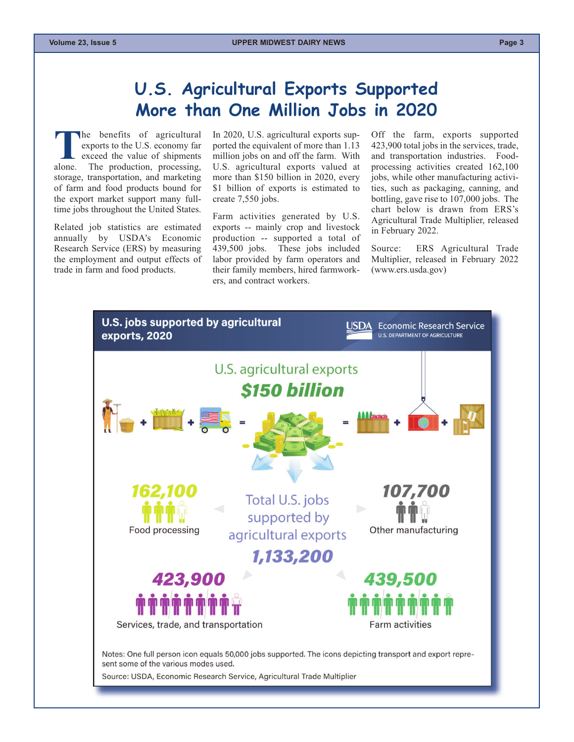#### **U.S. Agricultural Exports Supported More than One Million Jobs in 2020**

<span id="page-2-0"></span>**The benefits of agricultural exports to the U.S. economy far exceed the value of shipments alone. The production, processing,** exports to the U.S. economy far exceed the value of shipments The production, processing, storage, transportation, and marketing of farm and food products bound for the export market support many fulltime jobs throughout the United States.

Related job statistics are estimated annually by USDA's Economic Research Service (ERS) by measuring the employment and output effects of trade in farm and food products.

In 2020, U.S. agricultural exports supported the equivalent of more than 1.13 million jobs on and off the farm. With U.S. agricultural exports valued at more than \$150 billion in 2020, every \$1 billion of exports is estimated to create 7,550 jobs.

Farm activities generated by U.S. exports -- mainly crop and livestock production -- supported a total of 439,500 jobs. These jobs included labor provided by farm operators and their family members, hired farmworkers, and contract workers.

Off the farm, exports supported 423,900 total jobs in the services, trade, and transportation industries. Foodprocessing activities created 162,100 jobs, while other manufacturing activities, such as packaging, canning, and bottling, gave rise to 107,000 jobs. The chart below is drawn from ERS's Agricultural Trade Multiplier, released in February 2022.

Source: ERS Agricultural Trade Multiplier, released in February 2022 [\(www.ers.usda.gov\)](www.ers.usda.gov)

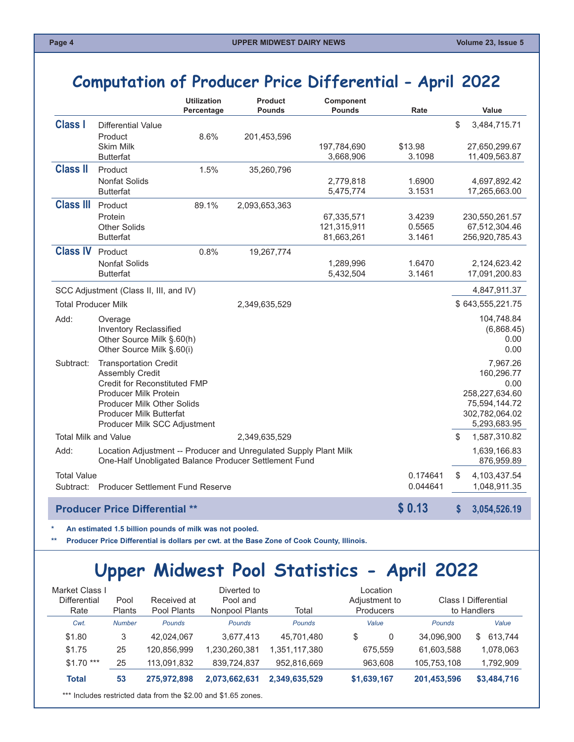### <span id="page-3-0"></span>**Computation of Producer Price Differential - April 2022**

|                            |                                                                   | <b>Utilization</b><br>Percentage | <b>Product</b><br><b>Pounds</b> | Component<br><b>Pounds</b> | Rate             | Value                           |
|----------------------------|-------------------------------------------------------------------|----------------------------------|---------------------------------|----------------------------|------------------|---------------------------------|
| <b>Class I</b>             | <b>Differential Value</b>                                         |                                  |                                 |                            |                  | \$<br>3,484,715.71              |
|                            | Product                                                           | 8.6%                             | 201,453,596                     |                            |                  |                                 |
|                            | <b>Skim Milk</b>                                                  |                                  |                                 | 197,784,690                | \$13.98          | 27,650,299.67                   |
|                            | <b>Butterfat</b>                                                  |                                  |                                 | 3,668,906                  | 3.1098           | 11,409,563.87                   |
| <b>Class II</b>            | Product                                                           | 1.5%                             | 35,260,796                      |                            |                  |                                 |
|                            | <b>Nonfat Solids</b><br><b>Butterfat</b>                          |                                  |                                 | 2,779,818<br>5,475,774     | 1.6900<br>3.1531 | 4,697,892.42<br>17,265,663.00   |
|                            |                                                                   |                                  |                                 |                            |                  |                                 |
| <b>Class III</b>           | Product                                                           | 89.1%                            | 2,093,653,363                   |                            |                  |                                 |
|                            | Protein<br><b>Other Solids</b>                                    |                                  |                                 | 67,335,571<br>121,315,911  | 3.4239<br>0.5565 | 230,550,261.57<br>67,512,304.46 |
|                            | <b>Butterfat</b>                                                  |                                  |                                 | 81,663,261                 | 3.1461           | 256,920,785.43                  |
| <b>Class IV</b>            | Product                                                           | 0.8%                             |                                 |                            |                  |                                 |
|                            | <b>Nonfat Solids</b>                                              |                                  | 19,267,774                      |                            | 1.6470           |                                 |
|                            | <b>Butterfat</b>                                                  |                                  |                                 | 1,289,996<br>5,432,504     | 3.1461           | 2,124,623.42<br>17,091,200.83   |
|                            |                                                                   |                                  |                                 |                            |                  |                                 |
|                            | SCC Adjustment (Class II, III, and IV)                            |                                  |                                 |                            |                  | 4,847,911.37                    |
| <b>Total Producer Milk</b> |                                                                   |                                  | 2,349,635,529                   |                            |                  | \$643,555,221.75                |
| Add:                       | Overage                                                           |                                  |                                 |                            |                  | 104,748.84                      |
|                            | <b>Inventory Reclassified</b>                                     |                                  |                                 |                            |                  | (6,868.45)                      |
|                            | Other Source Milk §.60(h)                                         |                                  |                                 |                            |                  | 0.00                            |
|                            | Other Source Milk §.60(i)                                         |                                  |                                 |                            |                  | 0.00                            |
| Subtract:                  | <b>Transportation Credit</b>                                      |                                  |                                 |                            |                  | 7,967.26                        |
|                            | <b>Assembly Credit</b><br><b>Credit for Reconstituted FMP</b>     |                                  |                                 |                            |                  | 160,296.77<br>0.00              |
|                            | Producer Milk Protein                                             |                                  |                                 |                            |                  | 258,227,634.60                  |
|                            | Producer Milk Other Solids                                        |                                  |                                 |                            |                  | 75,594,144.72                   |
|                            | Producer Milk Butterfat                                           |                                  |                                 |                            |                  | 302,782,064.02                  |
|                            | Producer Milk SCC Adjustment                                      |                                  |                                 |                            |                  | 5,293,683.95                    |
|                            | Total Milk and Value                                              |                                  | 2,349,635,529                   |                            |                  | \$<br>1,587,310.82              |
| Add:                       | Location Adjustment -- Producer and Unregulated Supply Plant Milk |                                  |                                 |                            |                  | 1,639,166.83                    |
|                            | One-Half Unobligated Balance Producer Settlement Fund             |                                  |                                 |                            |                  | 876,959.89                      |
| <b>Total Value</b>         |                                                                   |                                  |                                 |                            | 0.174641         | S<br>4,103,437.54               |
|                            | Subtract: Producer Settlement Fund Reserve                        |                                  |                                 |                            | 0.044641         | 1,048,911.35                    |
|                            |                                                                   |                                  |                                 |                            |                  |                                 |
|                            | <b>Producer Price Differential **</b>                             |                                  |                                 |                            | \$0.13           | S<br>3,054,526.19               |

**\* An estimated 1.5 billion pounds of milk was not pooled.** 

**\*\* Producer Price Differential is dollars per cwt. at the Base Zone of Cook County, Illinois.**

# **Upper Midwest Pool Statistics - April 2022**

| Market Class I<br><b>Differential</b><br>Rate | Pool<br><b>Plants</b> | Received at<br>Pool Plants | Diverted to<br>Pool and<br>Nonpool Plants                      | Total         | Location<br>Adjustment to<br>Producers |               | Class I Differential<br>to Handlers |
|-----------------------------------------------|-----------------------|----------------------------|----------------------------------------------------------------|---------------|----------------------------------------|---------------|-------------------------------------|
| Cwt.                                          | <b>Number</b>         | <b>Pounds</b>              | Pounds                                                         | <b>Pounds</b> | Value                                  | <b>Pounds</b> | Value                               |
| \$1.80                                        | 3                     | 42.024.067                 | 3.677.413                                                      | 45.701.480    | \$<br>0                                | 34.096.900    | 613.744<br>\$.                      |
| \$1.75                                        | 25                    | 120.856.999                | 1.230.260.381                                                  | 1,351,117,380 | 675.559                                | 61.603.588    | 1,078,063                           |
| $$1.70$ ***                                   | 25                    | 113,091,832                | 839.724.837                                                    | 952.816.669   | 963.608                                | 105,753,108   | 1,792,909                           |
| <b>Total</b>                                  | 53                    | 275.972.898                | 2,073,662,631                                                  | 2.349.635.529 | \$1,639,167                            | 201,453,596   | \$3,484,716                         |
|                                               |                       |                            | *** Includes restricted data from the \$2.00 and \$1.65 zones. |               |                                        |               |                                     |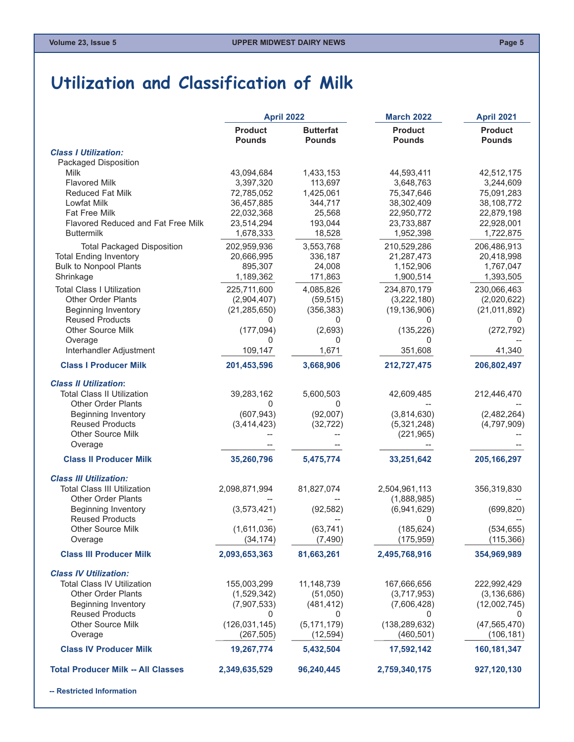### <span id="page-4-0"></span>**Utilization and Classification of Milk**

|                                           | <b>April 2022</b>               |                                   | <b>March 2022</b>               | April 2021                      |
|-------------------------------------------|---------------------------------|-----------------------------------|---------------------------------|---------------------------------|
|                                           | <b>Product</b><br><b>Pounds</b> | <b>Butterfat</b><br><b>Pounds</b> | <b>Product</b><br><b>Pounds</b> | <b>Product</b><br><b>Pounds</b> |
| <b>Class I Utilization:</b>               |                                 |                                   |                                 |                                 |
| Packaged Disposition                      |                                 |                                   |                                 |                                 |
| <b>Milk</b>                               | 43,094,684                      | 1,433,153                         | 44,593,411                      | 42,512,175                      |
| <b>Flavored Milk</b>                      | 3,397,320                       | 113,697                           | 3,648,763                       | 3,244,609                       |
| <b>Reduced Fat Milk</b>                   | 72,785,052                      | 1,425,061                         | 75,347,646                      | 75,091,283                      |
| Lowfat Milk                               | 36,457,885                      | 344,717                           | 38,302,409                      | 38,108,772                      |
| Fat Free Milk                             | 22,032,368                      | 25,568                            | 22,950,772                      | 22,879,198                      |
| Flavored Reduced and Fat Free Milk        | 23,514,294                      | 193,044                           | 23,733,887                      | 22,928,001                      |
| <b>Buttermilk</b>                         | 1,678,333                       | 18,528                            | 1,952,398                       | 1,722,875                       |
| <b>Total Packaged Disposition</b>         | 202,959,936                     | 3,553,768                         | 210,529,286                     | 206,486,913                     |
| <b>Total Ending Inventory</b>             | 20,666,995                      | 336,187                           | 21,287,473                      | 20,418,998                      |
| <b>Bulk to Nonpool Plants</b>             | 895,307                         | 24,008                            | 1,152,906                       | 1,767,047                       |
| Shrinkage                                 | 1,189,362                       | 171,863                           | 1,900,514                       | 1,393,505                       |
| <b>Total Class I Utilization</b>          | 225,711,600                     | 4,085,826                         | 234,870,179                     | 230,066,463                     |
| <b>Other Order Plants</b>                 | (2,904,407)                     | (59, 515)                         | (3,222,180)                     | (2,020,622)                     |
| <b>Beginning Inventory</b>                | (21, 285, 650)                  | (356, 383)                        | (19, 136, 906)                  | (21, 011, 892)                  |
| <b>Reused Products</b>                    | 0                               | 0                                 | 0                               | 0                               |
| Other Source Milk                         | (177, 094)                      | (2,693)                           | (135, 226)                      | (272, 792)                      |
| Overage<br>Interhandler Adjustment        | 0                               | 0                                 | 0                               |                                 |
|                                           | 109,147                         | 1,671                             | 351,608                         | 41,340                          |
| <b>Class I Producer Milk</b>              | 201,453,596                     | 3,668,906                         | 212,727,475                     | 206,802,497                     |
| <b>Class II Utilization:</b>              |                                 |                                   |                                 |                                 |
| <b>Total Class II Utilization</b>         | 39,283,162                      | 5,600,503                         | 42,609,485                      | 212,446,470                     |
| <b>Other Order Plants</b>                 | 0                               | 0                                 |                                 |                                 |
| <b>Beginning Inventory</b>                | (607, 943)                      | (92,007)                          | (3,814,630)                     | (2,482,264)                     |
| <b>Reused Products</b>                    | (3,414,423)                     | (32, 722)                         | (5,321,248)                     | (4,797,909)                     |
| <b>Other Source Milk</b>                  |                                 |                                   | (221, 965)                      |                                 |
| Overage                                   |                                 |                                   |                                 |                                 |
| <b>Class II Producer Milk</b>             | 35,260,796                      | 5,475,774                         | 33,251,642                      | 205, 166, 297                   |
| <b>Class III Utilization:</b>             |                                 |                                   |                                 |                                 |
| <b>Total Class III Utilization</b>        | 2,098,871,994                   | 81,827,074                        | 2,504,961,113                   | 356,319,830                     |
| <b>Other Order Plants</b>                 |                                 |                                   | (1,888,985)                     |                                 |
| <b>Beginning Inventory</b>                | (3,573,421)                     | (92, 582)                         | (6,941,629)                     | (699, 820)                      |
| <b>Reused Products</b>                    |                                 |                                   | 0                               |                                 |
| Other Source Milk                         | (1,611,036)                     | (63, 741)                         | (185, 624)                      | (534, 655)                      |
| Overage                                   | (34, 174)                       | (7, 490)                          | (175, 959)                      | (115, 366)                      |
| <b>Class III Producer Milk</b>            | 2,093,653,363                   | 81,663,261                        | 2,495,768,916                   | 354,969,989                     |
| <b>Class IV Utilization:</b>              |                                 |                                   |                                 |                                 |
| <b>Total Class IV Utilization</b>         | 155,003,299                     | 11,148,739                        | 167,666,656                     | 222,992,429                     |
| <b>Other Order Plants</b>                 | (1,529,342)                     | (51,050)                          | (3,717,953)                     | (3, 136, 686)                   |
| <b>Beginning Inventory</b>                | (7,907,533)                     | (481, 412)                        | (7,606,428)                     | (12,002,745)                    |
| <b>Reused Products</b>                    | 0                               | 0                                 | 0                               | $\cup$                          |
| <b>Other Source Milk</b>                  | (126, 031, 145)                 | (5, 171, 179)                     | (138, 289, 632)                 | (47, 565, 470)                  |
| Overage                                   | (267, 505)                      | (12, 594)                         | (460, 501)                      | (106, 181)                      |
| <b>Class IV Producer Milk</b>             | 19,267,774                      | 5,432,504                         | 17,592,142                      | 160, 181, 347                   |
| <b>Total Producer Milk -- All Classes</b> | 2,349,635,529                   | 96,240,445                        | 2,759,340,175                   | 927,120,130                     |
|                                           |                                 |                                   |                                 |                                 |

**-- Restricted Information**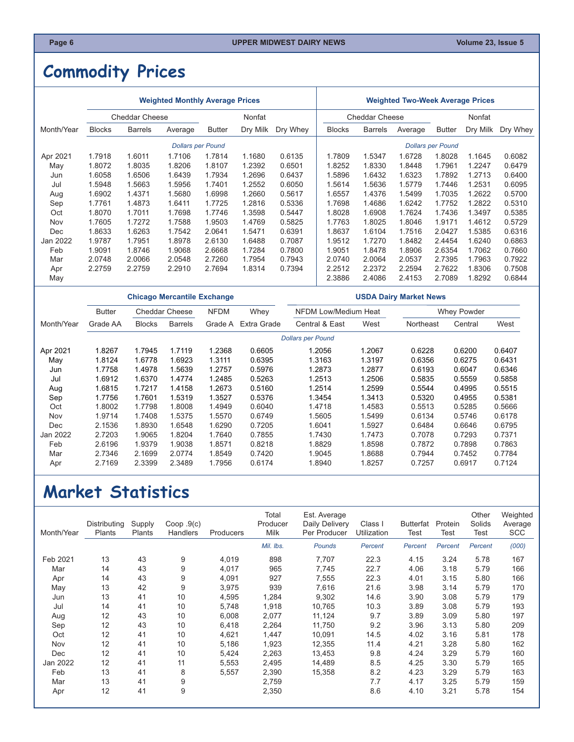# <span id="page-5-0"></span>**Commodity Prices**

| <b>Weighted Monthly Average Prices</b> |               |                       |                          |               |          |          |               | <b>Weighted Two-Week Average Prices</b> |         |                          |          |          |  |  |
|----------------------------------------|---------------|-----------------------|--------------------------|---------------|----------|----------|---------------|-----------------------------------------|---------|--------------------------|----------|----------|--|--|
|                                        |               | <b>Cheddar Cheese</b> |                          |               | Nonfat   |          |               | <b>Cheddar Cheese</b>                   |         | Nonfat                   |          |          |  |  |
| Month/Year                             | <b>Blocks</b> | <b>Barrels</b>        | Average                  | <b>Butter</b> | Dry Milk | Dry Whey | <b>Blocks</b> | <b>Barrels</b>                          | Average | <b>Butter</b>            | Dry Milk | Dry Whey |  |  |
|                                        |               |                       | <b>Dollars per Pound</b> |               |          |          |               |                                         |         | <b>Dollars per Pound</b> |          |          |  |  |
| Apr 2021                               | 1.7918        | 1.6011                | 1.7106                   | 1.7814        | 1.1680   | 0.6135   | 1.7809        | 1.5347                                  | 1.6728  | 1.8028                   | 1.1645   | 0.6082   |  |  |
| May                                    | 1.8072        | 1.8035                | 1.8206                   | 1.8107        | 1.2392   | 0.6501   | 1.8252        | 1.8330                                  | 1.8448  | 1.7961                   | 1.2247   | 0.6479   |  |  |
| Jun                                    | 1.6058        | 1.6506                | 1.6439                   | 1.7934        | 1.2696   | 0.6437   | 1.5896        | 1.6432                                  | 1.6323  | 1.7892                   | 1.2713   | 0.6400   |  |  |
| Jul                                    | 1.5948        | 1.5663                | 1.5956                   | 1.7401        | 1.2552   | 0.6050   | 1.5614        | 1.5636                                  | 1.5779  | 1.7446                   | 1.2531   | 0.6095   |  |  |
| Aug                                    | 1.6902        | 1.4371                | 1.5680                   | 1.6998        | 1.2660   | 0.5617   | 1.6557        | 1.4376                                  | 1.5499  | 1.7035                   | 1.2622   | 0.5700   |  |  |
| Sep                                    | 1.7761        | 1.4873                | 1.6411                   | 1.7725        | 1.2816   | 0.5336   | 1.7698        | 1.4686                                  | 1.6242  | 1.7752                   | 1.2822   | 0.5310   |  |  |
| Oct                                    | 1.8070        | 1.7011                | 1.7698                   | 1.7746        | 1.3598   | 0.5447   | 1.8028        | 1.6908                                  | 1.7624  | 1.7436                   | 1.3497   | 0.5385   |  |  |
| Nov                                    | 1.7605        | 1.7272                | 1.7588                   | 1.9503        | 1.4769   | 0.5825   | 1.7763        | 1.8025                                  | 1.8046  | 1.9171                   | 1.4612   | 0.5729   |  |  |
| Dec                                    | 1.8633        | 1.6263                | 1.7542                   | 2.0641        | 1.5471   | 0.6391   | 1.8637        | 1.6104                                  | 1.7516  | 2.0427                   | 1.5385   | 0.6316   |  |  |
| Jan 2022                               | 1.9787        | 1.7951                | 1.8978                   | 2.6130        | 1.6488   | 0.7087   | 1.9512        | 1.7270                                  | 1.8482  | 2.4454                   | 1.6240   | 0.6863   |  |  |
| Feb                                    | 1.9091        | 1.8746                | 1.9068                   | 2.6668        | 1.7284   | 0.7800   | 1.9051        | 1.8478                                  | 1.8906  | 2.6354                   | 1.7062   | 0.7660   |  |  |
| Mar                                    | 2.0748        | 2.0066                | 2.0548                   | 2.7260        | 1.7954   | 0.7943   | 2.0740        | 2.0064                                  | 2.0537  | 2.7395                   | 1.7963   | 0.7922   |  |  |
| Apr                                    | 2.2759        | 2.2759                | 2.2910                   | 2.7694        | 1.8314   | 0.7394   | 2.2512        | 2.2372                                  | 2.2594  | 2.7622                   | 1.8306   | 0.7508   |  |  |
| May                                    |               |                       |                          |               |          |          | 2.3886        | 2.4086                                  | 2.4153  | 2.7089                   | 1.8292   | 0.6844   |  |  |

|            |                                        |               |                | <b>Chicago Mercantile Exchange</b> |             | <b>USDA Dairy Market News</b> |        |                    |         |        |  |
|------------|----------------------------------------|---------------|----------------|------------------------------------|-------------|-------------------------------|--------|--------------------|---------|--------|--|
|            | <b>Cheddar Cheese</b><br><b>Butter</b> |               |                | <b>NFDM</b><br>Whey                |             | <b>NFDM Low/Medium Heat</b>   |        | <b>Whey Powder</b> |         |        |  |
| Month/Year | Grade AA                               | <b>Blocks</b> | <b>Barrels</b> | Grade A                            | Extra Grade | Central & East                | West   | Northeast          | Central | West   |  |
|            |                                        |               |                |                                    |             | <b>Dollars per Pound</b>      |        |                    |         |        |  |
| Apr 2021   | 1.8267                                 | 1.7945        | 1.7119         | 1.2368                             | 0.6605      | 1.2056                        | 1.2067 | 0.6228             | 0.6200  | 0.6407 |  |
| May        | 1.8124                                 | 1.6778        | 1.6923         | 1.3111                             | 0.6395      | 1.3163                        | 1.3197 | 0.6356             | 0.6275  | 0.6431 |  |
| Jun        | 1.7758                                 | 1.4978        | 1.5639         | 1.2757                             | 0.5976      | 1.2873                        | 1.2877 | 0.6193             | 0.6047  | 0.6346 |  |
| Jul        | 1.6912                                 | 1.6370        | 1.4774         | 1.2485                             | 0.5263      | 1.2513                        | 1.2506 | 0.5835             | 0.5559  | 0.5858 |  |
| Aug        | 1.6815                                 | 1.7217        | 1.4158         | 1.2673                             | 0.5160      | 1.2514                        | 1.2599 | 0.5544             | 0.4995  | 0.5515 |  |
| Sep        | 1.7756                                 | 1.7601        | 1.5319         | 1.3527                             | 0.5376      | 1.3454                        | 1.3413 | 0.5320             | 0.4955  | 0.5381 |  |
| Oct        | 1.8002                                 | 1.7798        | 1.8008         | 1.4949                             | 0.6040      | 1.4718                        | 1.4583 | 0.5513             | 0.5285  | 0.5666 |  |
| Nov        | 1.9714                                 | 1.7408        | 1.5375         | 1.5570                             | 0.6749      | 1.5605                        | 1.5499 | 0.6134             | 0.5746  | 0.6178 |  |
| Dec        | 2.1536                                 | 1.8930        | 1.6548         | 1.6290                             | 0.7205      | 1.6041                        | 1.5927 | 0.6484             | 0.6646  | 0.6795 |  |
| Jan 2022   | 2.7203                                 | 1.9065        | 1.8204         | 1.7640                             | 0.7855      | 1.7430                        | 1.7473 | 0.7078             | 0.7293  | 0.7371 |  |
| Feb        | 2.6196                                 | 1.9379        | 1.9038         | 1.8571                             | 0.8218      | 1.8829                        | 1.8598 | 0.7872             | 0.7898  | 0.7863 |  |
| Mar        | 2.7346                                 | 2.1699        | 2.0774         | 1.8549                             | 0.7420      | 1.9045                        | 1.8688 | 0.7944             | 0.7452  | 0.7784 |  |
| Apr        | 2.7169                                 | 2.3399        | 2.3489         | 1.7956                             | 0.6174      | 1.8940                        | 1.8257 | 0.7257             | 0.6917  | 0.7124 |  |

## **Market Statistics**

| Month/Year | Distributing<br>Plants | Supply<br>Plants | Coop.9(c)<br>Handlers | Producers | Total<br>Producer<br><b>Milk</b> | Est. Average<br>Daily Delivery<br>Per Producer | Class I<br>Utilization | Butterfat<br>Test | Protein<br>Test | Other<br>Solids<br>Test | Weighted<br>Average<br><b>SCC</b> |
|------------|------------------------|------------------|-----------------------|-----------|----------------------------------|------------------------------------------------|------------------------|-------------------|-----------------|-------------------------|-----------------------------------|
|            |                        |                  |                       |           | Mil. Ibs.                        | Pounds                                         | Percent                | Percent           | Percent         | Percent                 | (000)                             |
| Feb 2021   | 13                     | 43               | 9                     | 4,019     | 898                              | 7,707                                          | 22.3                   | 4.15              | 3.24            | 5.78                    | 167                               |
| Mar        | 14                     | 43               | 9                     | 4,017     | 965                              | 7,745                                          | 22.7                   | 4.06              | 3.18            | 5.79                    | 166                               |
| Apr        | 14                     | 43               | 9                     | 4,091     | 927                              | 7,555                                          | 22.3                   | 4.01              | 3.15            | 5.80                    | 166                               |
| May        | 13                     | 42               | 9                     | 3,975     | 939                              | 7,616                                          | 21.6                   | 3.98              | 3.14            | 5.79                    | 170                               |
| Jun        | 13                     | 41               | 10                    | 4,595     | 1,284                            | 9,302                                          | 14.6                   | 3.90              | 3.08            | 5.79                    | 179                               |
| Jul        | 14                     | 41               | 10                    | 5,748     | 1,918                            | 10,765                                         | 10.3                   | 3.89              | 3.08            | 5.79                    | 193                               |
| Aug        | 12                     | 43               | 10                    | 6,008     | 2,077                            | 11,124                                         | 9.7                    | 3.89              | 3.09            | 5.80                    | 197                               |
| Sep        | 12                     | 43               | 10                    | 6,418     | 2,264                            | 11,750                                         | 9.2                    | 3.96              | 3.13            | 5.80                    | 209                               |
| Oct        | 12                     | 41               | 10                    | 4,621     | 1,447                            | 10,091                                         | 14.5                   | 4.02              | 3.16            | 5.81                    | 178                               |
| Nov        | 12                     | 41               | 10                    | 5,186     | 1,923                            | 12,355                                         | 11.4                   | 4.21              | 3.28            | 5.80                    | 162                               |
| Dec        | 12                     | 41               | 10                    | 5,424     | 2,263                            | 13,453                                         | 9.8                    | 4.24              | 3.29            | 5.79                    | 160                               |
| Jan 2022   | 12                     | 41               | 11                    | 5,553     | 2,495                            | 14,489                                         | 8.5                    | 4.25              | 3.30            | 5.79                    | 165                               |
| Feb        | 13                     | 41               | 8                     | 5,557     | 2,390                            | 15,358                                         | 8.2                    | 4.23              | 3.29            | 5.79                    | 163                               |
| Mar        | 13                     | 41               | 9                     |           | 2,759                            |                                                | 7.7                    | 4.17              | 3.25            | 5.79                    | 159                               |
| Apr        | 12                     | 41               | 9                     |           | 2,350                            |                                                | 8.6                    | 4.10              | 3.21            | 5.78                    | 154                               |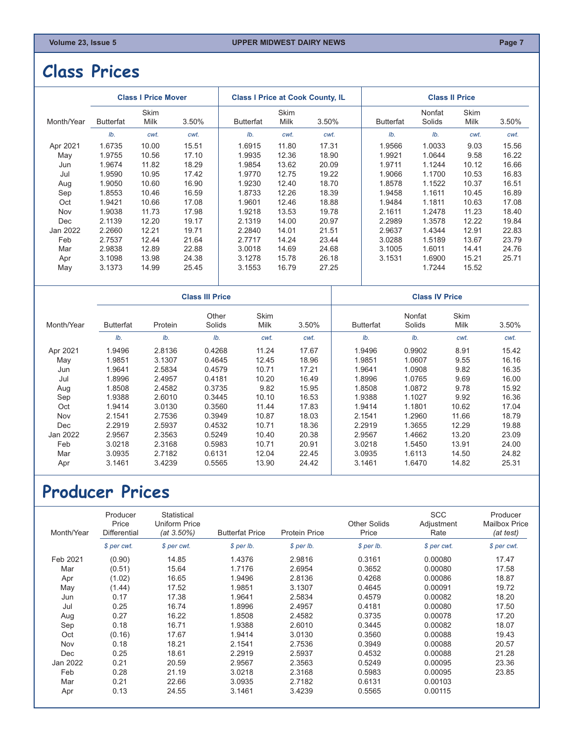### <span id="page-6-0"></span>**Class Prices**

|                  |              |       |                            |                        |       |                                         | <b>Class II Price</b> |              |                       |  |  |
|------------------|--------------|-------|----------------------------|------------------------|-------|-----------------------------------------|-----------------------|--------------|-----------------------|--|--|
| <b>Butterfat</b> | Skim<br>Milk | 3.50% | <b>Butterfat</b>           | Skim<br>Milk           | 3.50% | <b>Butterfat</b>                        | Nonfat<br>Solids      | Skim<br>Milk | 3.50%                 |  |  |
| Ib.              | cwt.         | cwt.  | Ib.                        | cwt.                   | cwt.  | Ib.                                     | Ib.                   | cwt.         | cwt.                  |  |  |
| 1.6735           | 10.00        | 15.51 | 1.6915                     | 11.80                  | 17.31 | 1.9566                                  | 1.0033                | 9.03         | 15.56                 |  |  |
| 1.9755           | 10.56        | 17.10 | 1.9935                     | 12.36                  | 18.90 | 1.9921                                  | 1.0644                | 9.58         | 16.22                 |  |  |
| 1.9674           | 11.82        | 18.29 | 1.9854                     | 13.62                  | 20.09 | 1.9711                                  | 1.1244                | 10.12        | 16.66                 |  |  |
| 1.9590           | 10.95        | 17.42 | 1.9770                     | 12.75                  | 19.22 | 1.9066                                  | 1.1700                | 10.53        | 16.83                 |  |  |
| 1.9050           | 10.60        | 16.90 | 1.9230                     | 12.40                  | 18.70 | 1.8578                                  | 1.1522                | 10.37        | 16.51                 |  |  |
| 1.8553           | 10.46        | 16.59 | 1.8733                     | 12.26                  | 18.39 | 1.9458                                  | 1.1611                | 10.45        | 16.89                 |  |  |
| 1.9421           | 10.66        | 17.08 | 1.9601                     | 12.46                  | 18.88 | 1.9484                                  | 1.1811                | 10.63        | 17.08                 |  |  |
| 1.9038           | 11.73        | 17.98 | 1.9218                     | 13.53                  | 19.78 | 2.1611                                  | 1.2478                | 11.23        | 18.40                 |  |  |
| 2.1139           | 12.20        | 19.17 | 2.1319                     | 14.00                  | 20.97 | 2.2989                                  | 1.3578                | 12.22        | 19.84                 |  |  |
| 2.2660           | 12.21        | 19.71 | 2.2840                     | 14.01                  | 21.51 | 2.9637                                  | 1.4344                | 12.91        | 22.83                 |  |  |
| 2.7537           | 12.44        | 21.64 | 2.7717                     | 14.24                  | 23.44 | 3.0288                                  | 1.5189                | 13.67        | 23.79                 |  |  |
| 2.9838           | 12.89        | 22.88 | 3.0018                     | 14.69                  | 24.68 | 3.1005                                  | 1.6011                | 14.41        | 24.76                 |  |  |
| 3.1098           | 13.98        | 24.38 | 3.1278                     | 15.78                  | 26.18 | 3.1531                                  | 1.6900                | 15.21        | 25.71                 |  |  |
| 3.1373           | 14.99        | 25.45 | 3.1553                     | 16.79                  | 27.25 |                                         | 1.7244                | 15.52        |                       |  |  |
|                  |              |       |                            |                        |       |                                         |                       |              |                       |  |  |
|                  |              |       | <b>Class I Price Mover</b> | <b>Class III Price</b> |       | <b>Class I Price at Cook County, IL</b> |                       |              | <b>Class IV Price</b> |  |  |

| Month/Year | <b>Butterfat</b> | Protein | Other<br>Solids | <b>Skim</b><br>Milk | 3.50% | <b>Butterfat</b> | Nonfat<br>Solids | Skim<br>Milk | 3.50% |
|------------|------------------|---------|-----------------|---------------------|-------|------------------|------------------|--------------|-------|
|            | Ib.              | Ib.     | Ib.             | cwt.                | cwt.  | Ib.              | Ib.              | cwt.         | cwt.  |
| Apr 2021   | 1.9496           | 2.8136  | 0.4268          | 11.24               | 17.67 | 1.9496           | 0.9902           | 8.91         | 15.42 |
| May        | 1.9851           | 3.1307  | 0.4645          | 12.45               | 18.96 | 1.9851           | 1.0607           | 9.55         | 16.16 |
| Jun        | 1.9641           | 2.5834  | 0.4579          | 10.71               | 17.21 | 1.9641           | 1.0908           | 9.82         | 16.35 |
| Jul        | 1.8996           | 2.4957  | 0.4181          | 10.20               | 16.49 | 1.8996           | 1.0765           | 9.69         | 16.00 |
| Aug        | 1.8508           | 2.4582  | 0.3735          | 9.82                | 15.95 | 1.8508           | 1.0872           | 9.78         | 15.92 |
| Sep        | 1.9388           | 2.6010  | 0.3445          | 10.10               | 16.53 | 1.9388           | 1.1027           | 9.92         | 16.36 |
| Oct        | 1.9414           | 3.0130  | 0.3560          | 11.44               | 17.83 | 1.9414           | 1.1801           | 10.62        | 17.04 |
| Nov        | 2.1541           | 2.7536  | 0.3949          | 10.87               | 18.03 | 2.1541           | 1.2960           | 11.66        | 18.79 |
| <b>Dec</b> | 2.2919           | 2.5937  | 0.4532          | 10.71               | 18.36 | 2.2919           | 1.3655           | 12.29        | 19.88 |
| Jan 2022   | 2.9567           | 2.3563  | 0.5249          | 10.40               | 20.38 | 2.9567           | 1.4662           | 13.20        | 23.09 |
| Feb        | 3.0218           | 2.3168  | 0.5983          | 10.71               | 20.91 | 3.0218           | 1.5450           | 13.91        | 24.00 |
| Mar        | 3.0935           | 2.7182  | 0.6131          | 12.04               | 22.45 | 3.0935           | 1.6113           | 14.50        | 24.82 |
| Apr        | 3.1461           | 3.4239  | 0.5565          | 13.90               | 24.42 | 3.1461           | 1.6470           | 14.82        | 25.31 |

## **Producer Prices**

| Month/Year | Producer<br>Price<br><b>Differential</b> | Statistical<br>Uniform Price<br>$(at 3.50\%)$ | <b>Butterfat Price</b> | <b>Protein Price</b> | <b>Other Solids</b><br>Price | <b>SCC</b><br>Adjustment<br>Rate | Producer<br><b>Mailbox Price</b><br>(at test) |
|------------|------------------------------------------|-----------------------------------------------|------------------------|----------------------|------------------------------|----------------------------------|-----------------------------------------------|
|            | \$ per cwt.                              | \$ per cwt.                                   | $$$ per lb.            | $$$ per lb.          | $$$ per lb.                  | \$ per cwt.                      | \$ per cwt.                                   |
| Feb 2021   | (0.90)                                   | 14.85                                         | 1.4376                 | 2.9816               | 0.3161                       | 0.00080                          | 17.47                                         |
| Mar        | (0.51)                                   | 15.64                                         | 1.7176                 | 2.6954               | 0.3652                       | 0.00080                          | 17.58                                         |
| Apr        | (1.02)                                   | 16.65                                         | 1.9496                 | 2.8136               | 0.4268                       | 0.00086                          | 18.87                                         |
| May        | (1.44)                                   | 17.52                                         | 1.9851                 | 3.1307               | 0.4645                       | 0.00091                          | 19.72                                         |
| Jun        | 0.17                                     | 17.38                                         | 1.9641                 | 2.5834               | 0.4579                       | 0.00082                          | 18.20                                         |
| Jul        | 0.25                                     | 16.74                                         | 1.8996                 | 2.4957               | 0.4181                       | 0.00080                          | 17.50                                         |
| Aug        | 0.27                                     | 16.22                                         | 1.8508                 | 2.4582               | 0.3735                       | 0.00078                          | 17.20                                         |
| Sep        | 0.18                                     | 16.71                                         | 1.9388                 | 2.6010               | 0.3445                       | 0.00082                          | 18.07                                         |
| Oct        | (0.16)                                   | 17.67                                         | 1.9414                 | 3.0130               | 0.3560                       | 0.00088                          | 19.43                                         |
| Nov        | 0.18                                     | 18.21                                         | 2.1541                 | 2.7536               | 0.3949                       | 0.00088                          | 20.57                                         |
| Dec        | 0.25                                     | 18.61                                         | 2.2919                 | 2.5937               | 0.4532                       | 0.00088                          | 21.28                                         |
| Jan 2022   | 0.21                                     | 20.59                                         | 2.9567                 | 2.3563               | 0.5249                       | 0.00095                          | 23.36                                         |
| Feb        | 0.28                                     | 21.19                                         | 3.0218                 | 2.3168               | 0.5983                       | 0.00095                          | 23.85                                         |
| Mar        | 0.21                                     | 22.66                                         | 3.0935                 | 2.7182               | 0.6131                       | 0.00103                          |                                               |
| Apr        | 0.13                                     | 24.55                                         | 3.1461                 | 3.4239               | 0.5565                       | 0.00115                          |                                               |